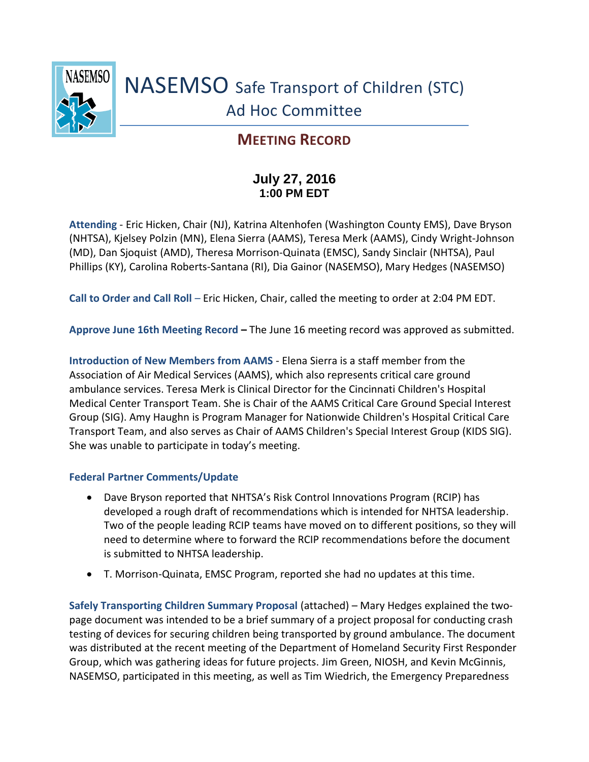

## **MEETING RECORD**

## **July 27, 2016 1:00 PM EDT**

**Attending** - Eric Hicken, Chair (NJ), Katrina Altenhofen (Washington County EMS), Dave Bryson (NHTSA), Kjelsey Polzin (MN), Elena Sierra (AAMS), Teresa Merk (AAMS), Cindy Wright-Johnson (MD), Dan Sjoquist (AMD), Theresa Morrison-Quinata (EMSC), Sandy Sinclair (NHTSA), Paul Phillips (KY), Carolina Roberts-Santana (RI), Dia Gainor (NASEMSO), Mary Hedges (NASEMSO)

**Call to Order and Call Roll** – Eric Hicken, Chair, called the meeting to order at 2:04 PM EDT.

**Approve June 16th Meeting Record –** The June 16 meeting record was approved as submitted.

**Introduction of New Members from AAMS** - Elena Sierra is a staff member from the Association of Air Medical Services (AAMS), which also represents critical care ground ambulance services. Teresa Merk is Clinical Director for the Cincinnati Children's Hospital Medical Center Transport Team. She is Chair of the AAMS Critical Care Ground Special Interest Group (SIG). Amy Haughn is Program Manager for Nationwide Children's Hospital Critical Care Transport Team, and also serves as Chair of AAMS Children's Special Interest Group (KIDS SIG). She was unable to participate in today's meeting.

## **Federal Partner Comments/Update**

- Dave Bryson reported that NHTSA's Risk Control Innovations Program (RCIP) has developed a rough draft of recommendations which is intended for NHTSA leadership. Two of the people leading RCIP teams have moved on to different positions, so they will need to determine where to forward the RCIP recommendations before the document is submitted to NHTSA leadership.
- T. Morrison-Quinata, EMSC Program, reported she had no updates at this time.

**Safely Transporting Children Summary Proposal** (attached) – Mary Hedges explained the twopage document was intended to be a brief summary of a project proposal for conducting crash testing of devices for securing children being transported by ground ambulance. The document was distributed at the recent meeting of the Department of Homeland Security First Responder Group, which was gathering ideas for future projects. Jim Green, NIOSH, and Kevin McGinnis, NASEMSO, participated in this meeting, as well as Tim Wiedrich, the Emergency Preparedness